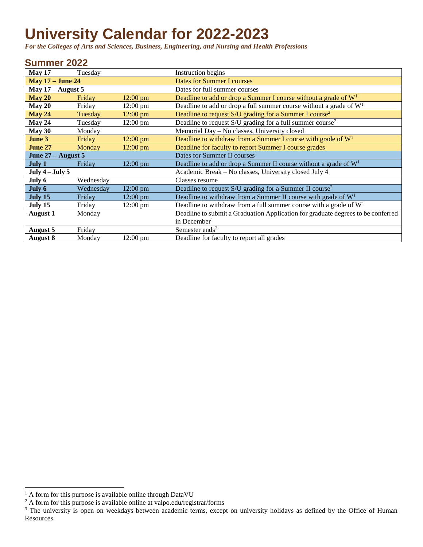## **University Calendar for 2022-2023**

*For the Colleges of Arts and Sciences, Business, Engineering, and Nursing and Health Professions*

## **Summer 2022**

<span id="page-0-2"></span><span id="page-0-1"></span><span id="page-0-0"></span>

| May 17                  | Tuesday   |                    | Instruction begins                                                               |
|-------------------------|-----------|--------------------|----------------------------------------------------------------------------------|
| <b>May 17 – June 24</b> |           |                    | <b>Dates for Summer I courses</b>                                                |
| May $17 -$ August 5     |           |                    | Dates for full summer courses                                                    |
| <b>May 20</b>           | Friday    | 12:00 pm           | Deadline to add or drop a Summer I course without a grade of $W1$                |
| May 20                  | Friday    | $12:00 \text{ pm}$ | Deadline to add or drop a full summer course without a grade of $W1$             |
| May 24                  | Tuesday   | 12:00 pm           | Deadline to request S/U grading for a Summer I course <sup>2</sup>               |
| May 24                  | Tuesday   | $12:00 \text{ pm}$ | Deadline to request $S/U$ grading for a full summer course <sup>2</sup>          |
| May 30                  | Monday    |                    | Memorial Day - No classes, University closed                                     |
| June 3                  | Friday    | $12:00 \text{ pm}$ | Deadline to withdraw from a Summer I course with grade of $W1$                   |
| June 27                 | Monday    | $12:00 \text{ pm}$ | Deadline for faculty to report Summer I course grades                            |
| June 27 - August 5      |           |                    | Dates for Summer II courses                                                      |
| July 1                  | Friday    | $12:00 \text{ pm}$ | Deadline to add or drop a Summer II course without a grade of $W1$               |
| July $4$ – July 5       |           |                    | Academic Break – No classes, University closed July 4                            |
| July 6                  | Wednesday |                    | Classes resume                                                                   |
| July 6                  | Wednesday | $12:00 \text{ pm}$ | Deadline to request S/U grading for a Summer II course <sup>2</sup>              |
| July 15                 | Friday    | $12:00 \text{ pm}$ | Deadline to withdraw from a Summer II course with grade of $W1$                  |
| July 15                 | Friday    | $12:00 \text{ pm}$ | Deadline to withdraw from a full summer course with a grade of $W1$              |
| <b>August 1</b>         | Monday    |                    | Deadline to submit a Graduation Application for graduate degrees to be conferred |
|                         |           |                    | in December <sup>1</sup>                                                         |
| August 5                | Friday    |                    | Semester ends <sup>3</sup>                                                       |
| <b>August 8</b>         | Monday    | $12:00 \text{ pm}$ | Deadline for faculty to report all grades                                        |

 $\overline{a}$ 

 $<sup>1</sup>$  A form for this purpose is available online through DataVU</sup>

 $2$  A form for this purpose is available online at valpo.edu/registrar/forms

<sup>&</sup>lt;sup>3</sup> The university is open on weekdays between academic terms, except on university holidays as defined by the Office of Human Resources.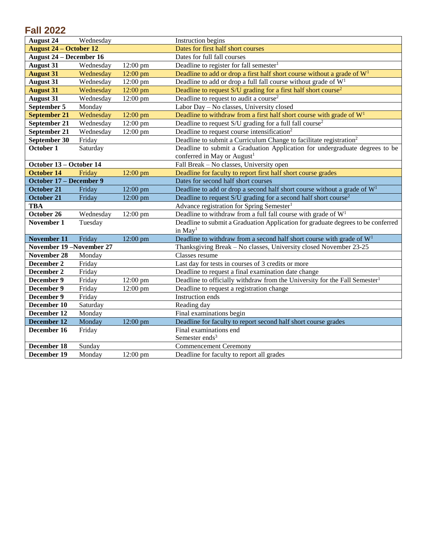## **Fall 2022**

| <b>August 24</b>               | Wednesday |                    | Instruction begins                                                                     |
|--------------------------------|-----------|--------------------|----------------------------------------------------------------------------------------|
| <b>August 24 – October 12</b>  |           |                    | Dates for first half short courses                                                     |
| <b>August 24 – December 16</b> |           |                    | Dates for full fall courses                                                            |
| <b>August 31</b>               | Wednesday | 12:00 pm           | Deadline to register for fall semester <sup>1</sup>                                    |
| <b>August 31</b>               | Wednesday | $12:00$ pm         | Deadline to add or drop a first half short course without a grade of $W1$              |
| <b>August 31</b>               | Wednesday | $12:00$ pm         | Deadline to add or drop a full fall course without grade of $W1$                       |
| <b>August 31</b>               | Wednesday | $12:00$ pm         | Deadline to request S/U grading for a first half short course <sup>2</sup>             |
| <b>August 31</b>               | Wednesday | $12:00 \text{ pm}$ | Deadline to request to audit a course <sup>2</sup>                                     |
| September 5                    | Monday    |                    | Labor Day - No classes, University closed                                              |
| <b>September 21</b>            | Wednesday | $12:00$ pm         | Deadline to withdraw from a first half short course with grade of $W1$                 |
| September 21                   | Wednesday | $12:00$ pm         | Deadline to request S/U grading for a full fall course <sup>2</sup>                    |
| September 21                   | Wednesday | 12:00 pm           | Deadline to request course intensification <sup>2</sup>                                |
| September 30                   | Friday    |                    | Deadline to submit a Curriculum Change to facilitate registration <sup>2</sup>         |
| October 1                      | Saturday  |                    | Deadline to submit a Graduation Application for undergraduate degrees to be            |
|                                |           |                    | conferred in May or August <sup>1</sup>                                                |
| October 13 - October 14        |           |                    | Fall Break - No classes, University open                                               |
| <b>October 14</b>              | Friday    | 12:00 pm           | Deadline for faculty to report first half short course grades                          |
| October 17 - December 9        |           |                    | Dates for second half short courses                                                    |
| <b>October 21</b>              | Friday    | 12:00 pm           | Deadline to add or drop a second half short course without a grade of $W1$             |
| October 21                     | Friday    | $12:00$ pm         | Deadline to request S/U grading for a second half short course <sup>2</sup>            |
| <b>TBA</b>                     |           |                    | Advance registration for Spring Semester <sup>1</sup>                                  |
| October 26                     | Wednesday | $12:00$ pm         | Deadline to withdraw from a full fall course with grade of $W1$                        |
| November 1                     | Tuesday   |                    | Deadline to submit a Graduation Application for graduate degrees to be conferred       |
|                                |           |                    | in $May1$                                                                              |
| <b>November 11</b>             | Friday    | 12:00 pm           | Deadline to withdraw from a second half short course with grade of $W1$                |
| November 19-November 27        |           |                    | Thanksgiving Break - No classes, University closed November 23-25                      |
| <b>November 28</b>             | Monday    |                    | Classes resume                                                                         |
| December 2                     | Friday    |                    | Last day for tests in courses of 3 credits or more                                     |
| December 2                     | Friday    |                    | Deadline to request a final examination date change                                    |
| December 9                     | Friday    | 12:00 pm           | Deadline to officially withdraw from the University for the Fall Semester <sup>1</sup> |
| December 9                     | Friday    | $12:00$ pm         | Deadline to request a registration change                                              |
| December 9                     | Friday    |                    | Instruction ends                                                                       |
| December 10                    | Saturday  |                    | Reading day                                                                            |
| December 12                    | Monday    |                    | Final examinations begin                                                               |
| December 12                    | Monday    | $12:00$ pm         | Deadline for faculty to report second half short course grades                         |
| December 16                    | Friday    |                    | Final examinations end                                                                 |
|                                |           |                    | Semester ends <sup>3</sup>                                                             |
| December 18                    | Sunday    |                    | <b>Commencement Ceremony</b>                                                           |
| December 19                    | Monday    | $12:00$ pm         | Deadline for faculty to report all grades                                              |